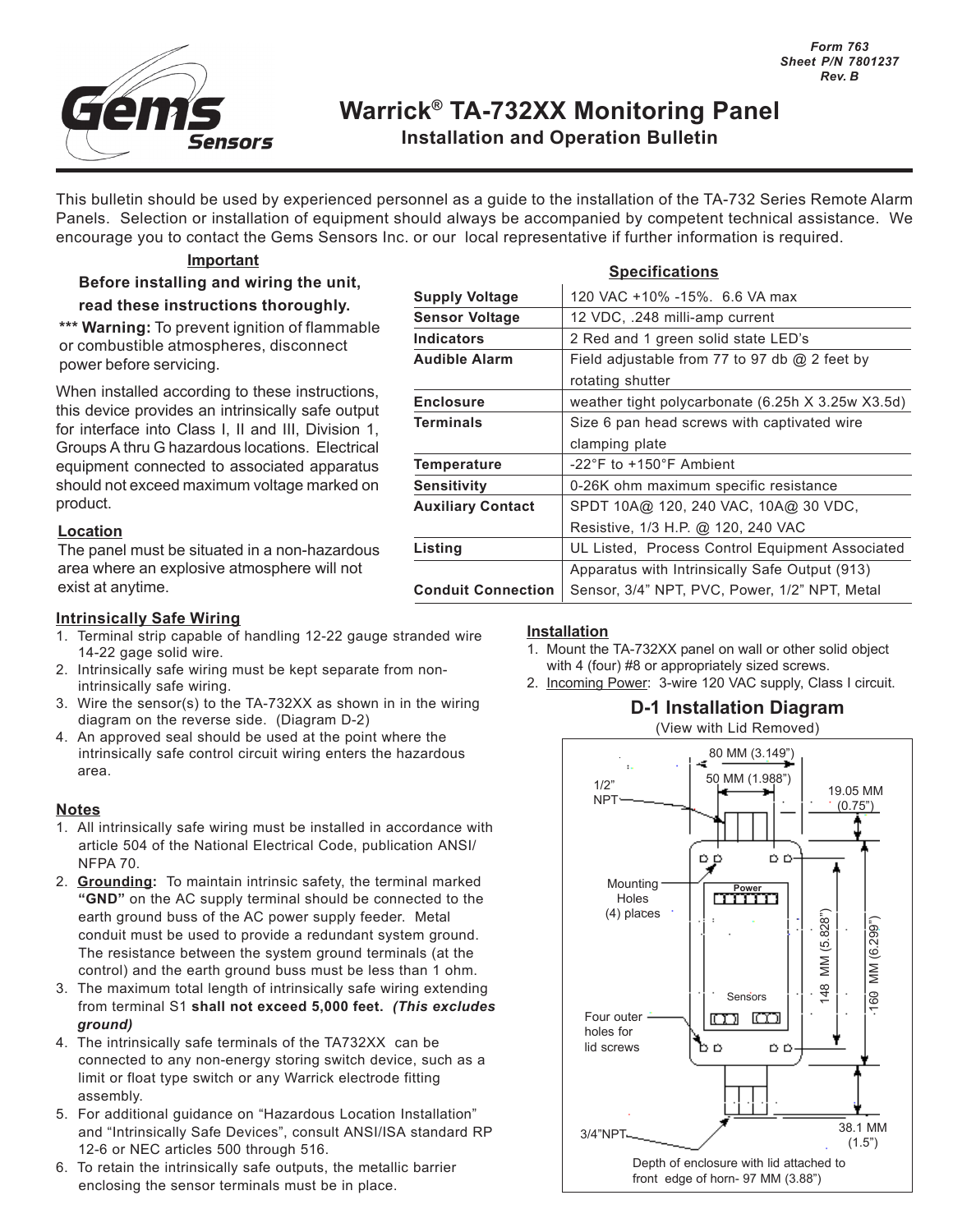

# **Warrick® TA-732XX Monitoring Panel**

**Installation and Operation Bulletin**

This bulletin should be used by experienced personnel as a guide to the installation of the TA-732 Series Remote Alarm Panels. Selection or installation of equipment should always be accompanied by competent technical assistance. We encourage you to contact the Gems Sensors Inc. or our local representative if further information is required.

#### **Important**

# **Before installing and wiring the unit,**

#### **read these instructions thoroughly.**

**\*\*\* Warning:** To prevent ignition of flammable or combustible atmospheres, disconnect power before servicing.

When installed according to these instructions, this device provides an intrinsically safe output for interface into Class I, II and III, Division 1, Groups A thru G hazardous locations. Electrical equipment connected to associated apparatus should not exceed maximum voltage marked on product.

# **Location**

The panel must be situated in a non-hazardous area where an explosive atmosphere will not exist at anytime.

#### **Intrinsically Safe Wiring**

- 1. Terminal strip capable of handling 12-22 gauge stranded wire 14-22 gage solid wire.
- 2. Intrinsically safe wiring must be kept separate from non intrinsically safe wiring.
- 3. Wire the sensor(s) to the TA-732XX as shown in in the wiring diagram on the reverse side. (Diagram D-2)
- 4. An approved seal should be used at the point where the intrinsically safe control circuit wiring enters the hazardous area.

## **Notes**

- 1. All intrinsically safe wiring must be installed in accordance with article 504 of the National Electrical Code, publication ANSI/ NFPA 70.
- 2. **Grounding:** To maintain intrinsic safety, the terminal marked  **"GND"** on the AC supply terminal should be connected to the earth ground buss of the AC power supply feeder. Metal conduit must be used to provide a redundant system ground. The resistance between the system ground terminals (at the control) and the earth ground buss must be less than 1 ohm.
- 3. The maximum total length of intrinsically safe wiring extending from terminal S1 **shall not exceed 5,000 feet.** *(This excludes ground)*
- 4. The intrinsically safe terminals of the TA732XX can be connected to any non-energy storing switch device, such as a limit or float type switch or any Warrick electrode fitting assembly.
- 5. For additional guidance on "Hazardous Location Installation" and "Intrinsically Safe Devices", consult ANSI/ISA standard RP 12-6 or NEC articles 500 through 516.
- 6. To retain the intrinsically safe outputs, the metallic barrier enclosing the sensor terminals must be in place.

# **Specifications**

| <b>Supply Voltage</b>     | 120 VAC +10% -15%, 6.6 VA max                     |
|---------------------------|---------------------------------------------------|
| <b>Sensor Voltage</b>     | 12 VDC, .248 milli-amp current                    |
| Indicators                | 2 Red and 1 green solid state LED's               |
| Audible Alarm             | Field adjustable from 77 to 97 db $@$ 2 feet by   |
|                           | rotating shutter                                  |
| Enclosure                 | weather tight polycarbonate (6.25h X 3.25w X3.5d) |
| Terminals                 | Size 6 pan head screws with captivated wire       |
|                           | clamping plate                                    |
| Temperature               | $-22^{\circ}$ F to $+150^{\circ}$ F Ambient       |
| Sensitivity               | 0-26K ohm maximum specific resistance             |
| <b>Auxiliary Contact</b>  | SPDT 10A@ 120, 240 VAC, 10A@ 30 VDC,              |
|                           | Resistive, 1/3 H.P. @ 120, 240 VAC                |
| Listing                   | UL Listed, Process Control Equipment Associated   |
|                           | Apparatus with Intrinsically Safe Output (913)    |
| <b>Conduit Connection</b> | Sensor, 3/4" NPT, PVC, Power, 1/2" NPT, Metal     |
|                           |                                                   |

## **Installation**

- 1. Mount the TA-732XX panel on wall or other solid object with 4 (four) #8 or appropriately sized screws.
- 2. Incoming Power: 3-wire 120 VAC supply, Class I circuit.

# **D-1 Installation Diagram**

(View with Lid Removed)